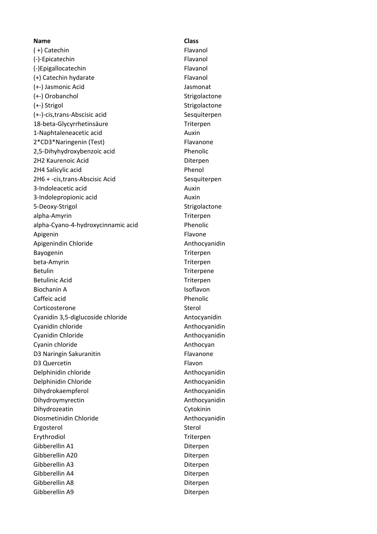**Name Class** (+) Catechin Flavanol (-)-Epicatechin Flavanol (-)Epigallocatechin Flavanol (+) Catechin hydarate Flavanol (+-) Jasmonic Acid Jasmonat (+-) Orobanchol Strigolactone (+-) Strigol Strigolactone (+-)-cis,trans-Abscisic acid Sesquiterpen 18-beta-Glycyrrhetinsäure Triterpen 1-Naphtaleneacetic acid Auxin 2\*CD3\*Naringenin (Test) Flavanone 2,5-Dihyhydroxybenzoic acid Phenolic 2H2 Kaurenoic Acid Diterpen 2H4 Salicylic acid Phenol 2H6 + -cis, trans-Abscisic Acid Sesquiterpen 3-Indoleacetic acid Auxin 3-Indolepropionic acid Auxin 5-Deoxy-Strigol Strigolactone alpha-Amyrin Triterpen alpha-Cyano-4-hydroxycinnamic acid Phenolic Apigenin Flavone Apigenindin Chloride **Anthocyanidin** Anthocyanidin Bayogenin Triterpen beta-Amyrin Triterpen Betulin Triterpene Betulinic Acid Triterpen Biochanin A **Isoflavon** Caffeic acid **Phenolic** Corticosterone Sterol Cyanidin 3,5-diglucoside chloride Antocyanidin Cyanidin chloride **Anthocyanidin** Cyanidin Cyanidin Chloride **Anthocyanidin** Cyanin chloride **Anthocyan** D3 Naringin Sakuranitin Flavanone D3 Quercetin Flavon Delphinidin chloride Anthocyanidin Delphinidin Chloride **Anthocyanidin** Dihydrokaempferol and a metal and a metal Anthocyanidin Dihydroymyrectin Anthocyanidin Dihydrozeatin Cytokinin Diosmetinidin Chloride **Anthocyanidin** Ergosterol Sterol Sterol Sterol Sterol Sterol Sterol Sterol Sterol Sterol Sterol Sterol Sterol Sterol Sterol Sterol Sterol Sterol Sterol Sterol Sterol Sterol Sterol Sterol Sterol Sterol Sterol Sterol Sterol Sterol Sterol S Erythrodiol **Triterpen** Gibberellin A1 Diterpen Gibberellin A20 Diterpen Gibberellin A3 Diterpen Gibberellin A4 Diterpen Gibberellin A8 Diterpen Gibberellin A9 Diterpen